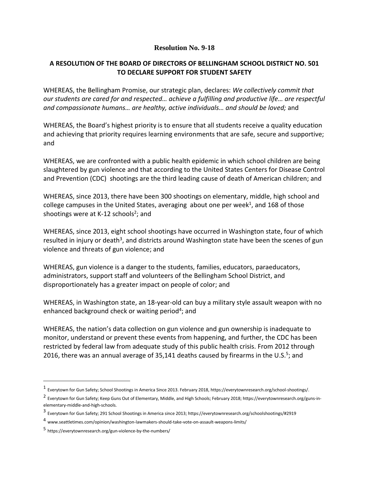## **Resolution No. 9-18**

## **A RESOLUTION OF THE BOARD OF DIRECTORS OF BELLINGHAM SCHOOL DISTRICT NO. 501 TO DECLARE SUPPORT FOR STUDENT SAFETY**

WHEREAS, the Bellingham Promise, our strategic plan, declares: *We collectively commit that our students are cared for and respected… achieve a fulfilling and productive life… are respectful and compassionate humans… are healthy, active individuals… and should be loved;* and

WHEREAS, the Board's highest priority is to ensure that all students receive a quality education and achieving that priority requires learning environments that are safe, secure and supportive; and

WHEREAS, we are confronted with a public health epidemic in which school children are being slaughtered by gun violence and that according to the United States Centers for Disease Control and Prevention (CDC) shootings are the third leading cause of death of American children; and

WHEREAS, since 2013, there have been 300 shootings on elementary, middle, high school and college campuses in the United States, averaging about one per week<sup>1</sup>, and 168 of those shootings were at K-12 schools<sup>2</sup>; and

WHEREAS, since 2013, eight school shootings have occurred in Washington state, four of which resulted in injury or death<sup>3</sup>, and districts around Washington state have been the scenes of gun violence and threats of gun violence; and

WHEREAS, gun violence is a danger to the students, families, educators, paraeducators, administrators, support staff and volunteers of the Bellingham School District, and disproportionately has a greater impact on people of color; and

WHEREAS, in Washington state, an 18-year-old can buy a military style assault weapon with no enhanced background check or waiting period<sup>4</sup>; and

WHEREAS, the nation's data collection on gun violence and gun ownership is inadequate to monitor, understand or prevent these events from happening, and further, the CDC has been restricted by federal law from adequate study of this public health crisis. From 2012 through 2016, there was an annual average of 35,141 deaths caused by firearms in the U.S.<sup>5</sup>; and

 $\overline{a}$ 

<sup>&</sup>lt;sup>1</sup> Everytown for Gun Safety; School Shootings in America Since 2013. February 2018, https://everytownresearch.org/school-shootings/.

<sup>2</sup> Everytown for Gun Safety; Keep Guns Out of Elementary, Middle, and High Schools; February 2018; https://everytownresearch.org/guns-inelementary-middle-and-high-schools.

<sup>3</sup> Everytown for Gun Safety; 291 School Shootings in America since 2013; https://everytownresearch.org/schoolshootings/#2919

<sup>4</sup> www.seattletimes.com/opinion/washington-lawmakers-should-take-vote-on-assault-weapons-limits/

<sup>5</sup> https://everytownresearch.org/gun-violence-by-the-numbers/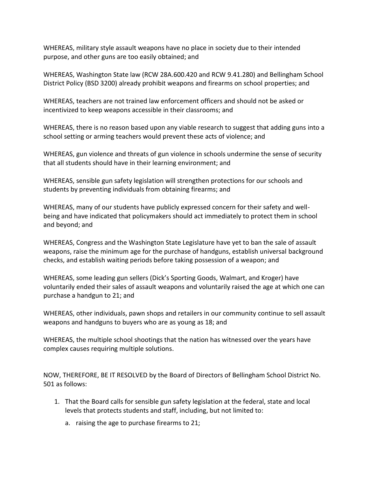WHEREAS, military style assault weapons have no place in society due to their intended purpose, and other guns are too easily obtained; and

WHEREAS, Washington State law (RCW 28A.600.420 and RCW 9.41.280) and Bellingham School District Policy (BSD 3200) already prohibit weapons and firearms on school properties; and

WHEREAS, teachers are not trained law enforcement officers and should not be asked or incentivized to keep weapons accessible in their classrooms; and

WHEREAS, there is no reason based upon any viable research to suggest that adding guns into a school setting or arming teachers would prevent these acts of violence; and

WHEREAS, gun violence and threats of gun violence in schools undermine the sense of security that all students should have in their learning environment; and

WHEREAS, sensible gun safety legislation will strengthen protections for our schools and students by preventing individuals from obtaining firearms; and

WHEREAS, many of our students have publicly expressed concern for their safety and wellbeing and have indicated that policymakers should act immediately to protect them in school and beyond; and

WHEREAS, Congress and the Washington State Legislature have yet to ban the sale of assault weapons, raise the minimum age for the purchase of handguns, establish universal background checks, and establish waiting periods before taking possession of a weapon; and

WHEREAS, some leading gun sellers (Dick's Sporting Goods, Walmart, and Kroger) have voluntarily ended their sales of assault weapons and voluntarily raised the age at which one can purchase a handgun to 21; and

WHEREAS, other individuals, pawn shops and retailers in our community continue to sell assault weapons and handguns to buyers who are as young as 18; and

WHEREAS, the multiple school shootings that the nation has witnessed over the years have complex causes requiring multiple solutions.

NOW, THEREFORE, BE IT RESOLVED by the Board of Directors of Bellingham School District No. 501 as follows:

- 1. That the Board calls for sensible gun safety legislation at the federal, state and local levels that protects students and staff, including, but not limited to:
	- a. raising the age to purchase firearms to 21;